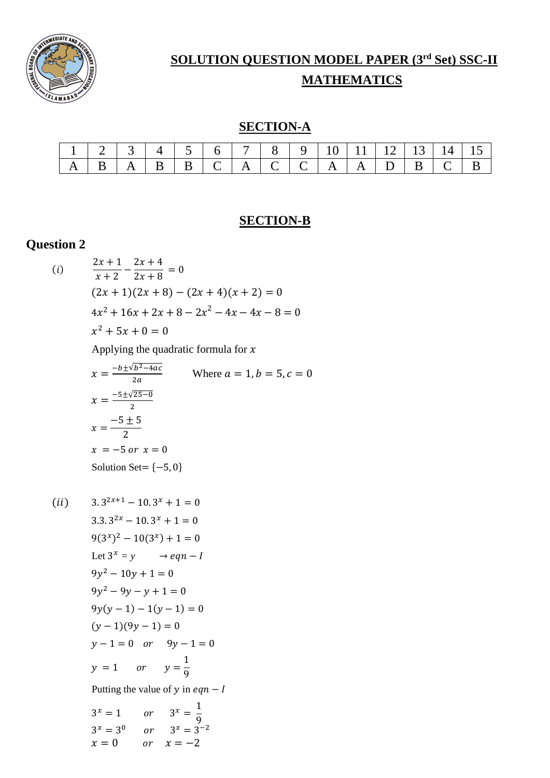

# **SOLUTION QUESTION MODEL PAPER (3rd Set) SSC-II**

## **MATHEMATICS**

### **SECTION-A**

|  |  |                               |  |  |              |            | $10 \mid 11 \mid 12 \mid 13 \mid 14 \mid 15 \mid$ |                 |  |
|--|--|-------------------------------|--|--|--------------|------------|---------------------------------------------------|-----------------|--|
|  |  | $\mid B \mid B \mid C \mid A$ |  |  | $\mathbf{A}$ | $A \mid D$ |                                                   | $\mid C \mid B$ |  |

### **SECTION-B**

## **Question 2**

(i) 
$$
\frac{2x+1}{x+2} - \frac{2x+4}{2x+8} = 0
$$

$$
(2x+1)(2x+8) - (2x+4)(x+2) = 0
$$

$$
4x^2 + 16x + 2x + 8 - 2x^2 - 4x - 4x - 8 = 0
$$

$$
x^2 + 5x + 0 = 0
$$

Applying the quadratic formula for  $x$ 

$$
x = \frac{-b \pm \sqrt{b^2 - 4ac}}{2a}
$$
 Where  $a = 1, b = 5, c = 0$   
\n
$$
x = \frac{-5 \pm \sqrt{25 - 0}}{2}
$$
  
\n
$$
x = \frac{-5 \pm 5}{2}
$$
  
\n
$$
x = -5 \text{ or } x = 0
$$
  
\nSolution Set = {-5, 0}

 $(ii)$  3.  $3^{2x+1} - 10.3^x + 1 = 0$  $3.3 \cdot 3^{2x} - 10 \cdot 3^x + 1 = 0$  $9(3^x)^2 - 10(3^x) + 1 = 0$ Let  $3^x = y \rightarrow eqn - I$  $9y^2 - 10y + 1 = 0$  $9y^2 - 9y - y + 1 = 0$  $9y(y-1) - 1(y-1) = 0$  $(y-1)(9y-1) = 0$  $y-1=0$  or  $9y-1=0$  $y = 1$  or  $y =$ 1 9 Putting the value of  $y$  in  $eqn - I$  $3^x = 1$  or  $3^x = \frac{1}{2}$ 9  $3^x = 3^0$  or  $3^x = 3^{-2}$  $x = 0$   $or$   $x = -2$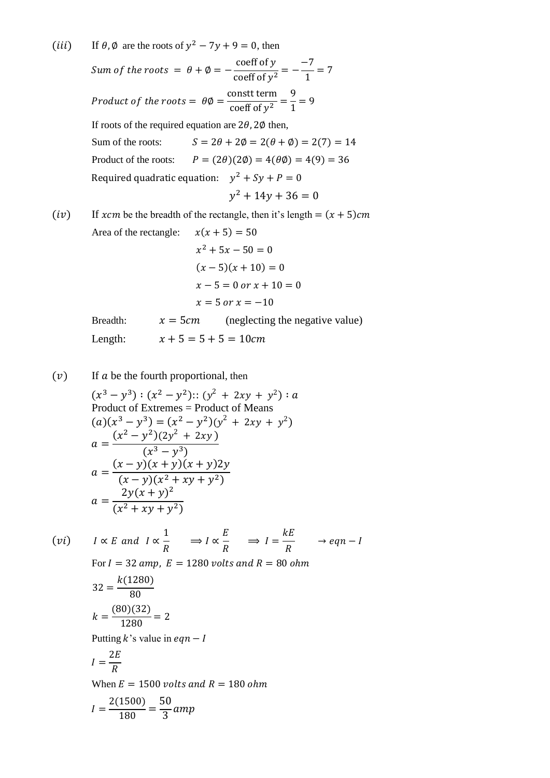(*iii*) If  $\theta$ ,  $\phi$  are the roots of  $y^2 - 7y + 9 = 0$ , then

Sum of the roots =  $\theta + \emptyset =$ coeff of y coeff of <sup>2</sup> = −  $-7$  $\frac{1}{1} = 7$ Product of the roots  $= \theta \emptyset =$ constt term  $\frac{1}{\cosh(1 + \cosh(1 + \cosh(1 + \cosh(1 + \cosh(1 + \cosh(1 + \cosh(1 + \cosh(1 + \cosh(1 + \cosh(1 + \cosh(1 + \cosh(1 + \cosh(1 + \cosh(1 + \cosh(1 + \cosh(1 + \cosh(1 + \cosh(1 + \cosh(1 + \cosh(1 + \cosh(1 + \cosh(1 + \cosh(1 + \cosh(1 + \cosh(1 + \cosh(1 + \cosh(1 + \cosh(1 + \cosh(1 + \cosh(1 + \cosh(1 + \cosh(1 + \cosh(1 + \cosh(1 + \cosh(1 + \cosh(1$ 9  $\frac{1}{1} = 9$ If roots of the required equation are  $2\theta$ ,  $2\phi$  then, Sum of the roots:  $S = 2\theta + 2\phi = 2(\theta + \phi) = 2(7) = 14$ Product of the roots:  $P = (2\theta)(2\phi) = 4(\theta\phi) = 4(9) = 36$ Required quadratic equation:  $y^2 + Sy + P = 0$  $y^2 + 14y + 36 = 0$ (iv) If xcm be the breadth of the rectangle, then it's length =  $(x + 5)$ cm Area of the rectangle:  $x(x + 5) = 50$  $x^2 + 5x - 50 = 0$  $(x-5)(x+10) = 0$  $x - 5 = 0$  or  $x + 10 = 0$  $x = 5$  or  $x = -10$ Breadth:  $x = 5cm$  (neglecting the negative value)

Length:  $x + 5 = 5 + 5 = 10$ cm

 $(v)$  If  $a$  be the fourth proportional, then

$$
(x3 - y3) : (x2 - y2) :: (y2 + 2xy + y2) : a
$$
  
Product of Extremes = Product of Means  

$$
(a)(x3 - y3) = (x2 - y2)(y2 + 2xy + y2)
$$

$$
a = \frac{(x2 - y2)(2y2 + 2xy)}{(x3 - y3)}
$$

$$
a = \frac{(x - y)(x + y)(x + y)2y}{(x - y)(x2 + xy + y2)}
$$

$$
a = \frac{2y(x + y)2}{(x2 + xy + y2)}
$$

(vi) 
$$
I \propto E
$$
 and  $I \propto \frac{1}{R}$   $\Rightarrow I \propto \frac{E}{R}$   $\Rightarrow I = \frac{kE}{R}$   $\rightarrow eqn - I$   
\nFor  $I = 32$  amp,  $E = 1280$  volts and  $R = 80$  ohm  
\n
$$
32 = \frac{k(1280)}{80}
$$
\n
$$
k = \frac{(80)(32)}{1280} = 2
$$
\nPutting k's value in eqn - I  
\n
$$
I = \frac{2E}{R}
$$

When  $E = 1500$  volts and  $R = 180$  ohm

$$
I = \frac{2(1500)}{180} = \frac{50}{3} \, \text{amp}
$$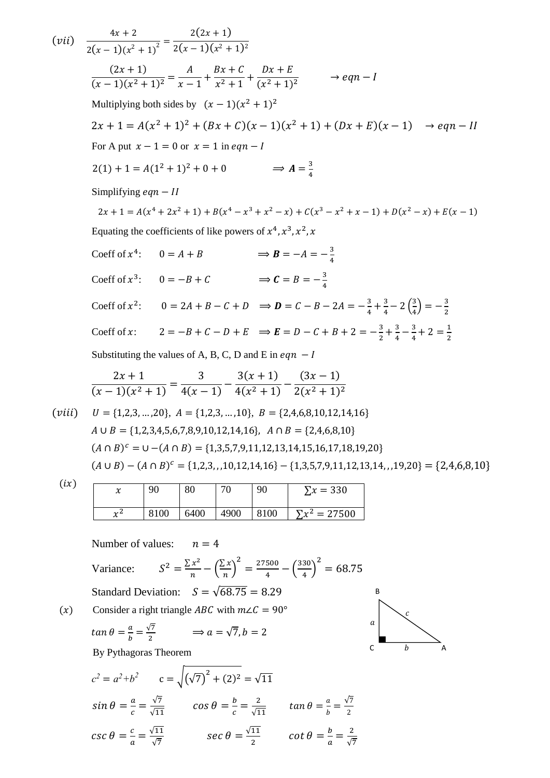$(vii)$   $\frac{4x+2}{2}$  $\frac{2(x-1)(x^2+1)^2}{x^2+1}$  $2(2x + 1)$  $2(x-1)(x^2+1)^2$  $(2x + 1)$  $\frac{(-x-2)}{(x-1)(x^2+1)^2} =$  $\overline{A}$  $\frac{1}{x-1}$ +  $Bx+C$  $\frac{1}{x^2+1}$  +  $Dx + E$  $\frac{2x+2}{(x^2+1)^2}$   $\rightarrow eqn-I$ Multiplying both sides by  $(x-1)(x^2+1)^2$  $2x + 1 = A(x^2 + 1)^2 + (Bx + C)(x - 1)(x^2 + 1) + (Dx + E)(x - 1) \rightarrow eqn - II$ For A put  $x - 1 = 0$  or  $x = 1$  in eqn - I  $2(1) + 1 = A(1^2 + 1)^2 + 0 + 0$   $\implies A = \frac{3}{4}$ 4 Simplifying  $eqn - II$  $2x + 1 = A(x^4 + 2x^2 + 1) + B(x^4 - x^3 + x^2 - x) + C(x^3 - x^2 + x - 1) + D(x^2 - x) + E(x - 1)$ Equating the coefficients of like powers of  $x^4$ ,  $x^3$ ,  $x^2$ , x Coeff of  $x^4$ :  $0 = A + B$   $\implies B = -A = -\frac{3}{4}$ 4 Coeff of  $x^3$ :  $0 = -B + C$   $\implies C = B = -\frac{3}{4}$ 4 Coeff of  $x^2$ :  $0 = 2A + B - C + D \implies D = C - B - 2A = -\frac{3}{4}$  $\frac{3}{4} + \frac{3}{4}$  $rac{3}{4}$  – 2 $\left(\frac{3}{4}\right)$  $\left(\frac{3}{4}\right) = -\frac{3}{2}$ 2 Coeff of x:  $2 = -B + C - D + E \implies E = D - C + B + 2 = -\frac{3}{2}$  $\frac{3}{2} + \frac{3}{4}$  $\frac{3}{4} - \frac{3}{4}$  $\frac{3}{4} + 2 = \frac{1}{2}$ 2 Substituting the values of A, B, C, D and E in  $eqn - I$  $2x + 1$  $\frac{1}{(x-1)(x^2+1)}$  = 3  $\frac{1}{4(x-1)}$  –  $3(x + 1)$  $\frac{1}{4(x^2+1)}$  –  $(3x - 1)$  $2(x^2+1)^2$  $(viii)$   $U = \{1,2,3,...,20\}, A = \{1,2,3,...,10\}, B = \{2,4,6,8,10,12,14,16\}$  $A \cup B = \{1,2,3,4,5,6,7,8,9,10,12,14,16\}, A \cap B = \{2,4,6,8,10\}$  $(A \cap B)^c = \cup - (A \cap B) = \{1,3,5,7,9,11,12,13,14,15,16,17,18,19,20\}$  $(A \cup B) - (A \cap B)^c = \{1,2,3,10,12,14,16\} - \{1,3,5,7,9,11,12,13,14,19,20\} = \{2,4,6,8,10\}$  $(ix)$ l, Number of values:  $n = 4$ Variance:  $z = \frac{\sum x^2}{n}$  $\frac{x^2}{n} - \left(\frac{\sum x}{n}\right)$  $\frac{n}{n}$ 2  $=\frac{27500}{4}$  $\frac{500}{4} - \left(\frac{330}{4}\right)$  $\left(\frac{30}{4}\right)^2 = 68.75$ Standard Deviation:  $S = \sqrt{68.75} = 8.29$ (x) Consider a right triangle *ABC* with  $m\angle C = 90^\circ$  $tan \theta = \frac{a}{b}$  $\frac{a}{b} = \frac{\sqrt{7}}{2}$  $\frac{\sqrt{7}}{2}$   $\Rightarrow$   $a = \sqrt{7}, b = 2$ By Pythagoras Theorem  $c^2 = a^2 + b^2$   $c = \sqrt{(\sqrt{7})^2 + (2)^2} = \sqrt{11}$  $x = 90$  80 70 90  $\sum x = 330$  $\overline{r^2}$ <sup>2</sup> 8100 6400 4900 8100  $\sum x^2 = 27500$ A B  $\mathsf{C}$  $\alpha$  $\overline{h}$  $\overline{c}$ 

 $sin \theta = \frac{a}{b}$ 

 $csc \theta = \frac{c}{a}$ 

 $\frac{a}{c} = \frac{\sqrt{7}}{\sqrt{11}}$ 

 $\frac{c}{a} = \frac{\sqrt{11}}{\sqrt{7}}$ 

 $\frac{\sqrt{7}}{\sqrt{11}}$   $\cos \theta = \frac{b}{c}$ 

 $\frac{\sqrt{11}}{\sqrt{7}}$   $\sec \theta = \frac{\sqrt{11}}{2}$ 

 $\frac{b}{c} = \frac{2}{\sqrt{1}}$ 

 $rac{2}{\sqrt{11}}$   $\tan \theta = \frac{a}{b}$ 

 $rac{11}{2}$   $\cot \theta = \frac{b}{a}$ 

 $\frac{a}{b} = \frac{\sqrt{7}}{2}$ 2

 $\frac{b}{a} = \frac{2}{\sqrt{2}}$ √7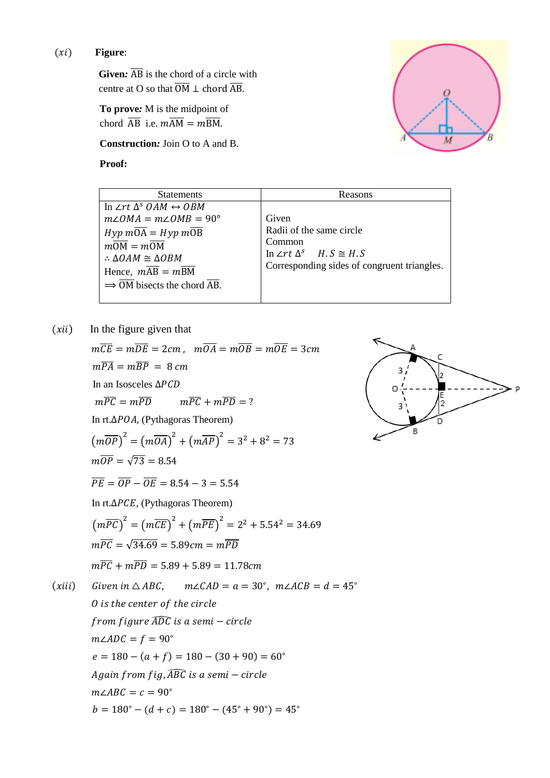#### (*xi*) Figure:

**Given:**  $\overline{AB}$  is the chord of a circle with centre at O so that  $\overline{OM} \perp$  chord  $\overline{AB}$ .

**To prove***:* M is the midpoint of chord  $\overline{AB}$  i.e.  $m\overline{AM} = m\overline{BM}$ .

**Construction***:* Join O to A and B*.*

**Proof:**



| <b>Statements</b>                                                                                                                                                                                                                                                  | Reasons                                                                                                                               |
|--------------------------------------------------------------------------------------------------------------------------------------------------------------------------------------------------------------------------------------------------------------------|---------------------------------------------------------------------------------------------------------------------------------------|
| In $\angle rt \Delta^s$ OAM $\leftrightarrow$ OBM<br>$m\angle OMA = m\angle OMB = 90^{\circ}$<br>$Hyp mOA = Hyp mOB$<br>$mOM = mOM$<br>$\therefore$ $\triangle OAM \cong \triangle OBM$<br>Hence, $mAB = m\overline{BM}$<br>$\Rightarrow$ OM bisects the chord AB. | Given<br>Radii of the same circle<br>Common<br>In $\angle rt \Delta^s$ $H.S \cong H.S$<br>Corresponding sides of congruent triangles. |

 $(xii)$  In the figure given that

 $m\overline{CE} = m\overline{DE} = 2cm$ ,  $m\overline{OA} = m\overline{OB} = m\overline{OE} = 3cm$  $m\overline{PA} = m\overline{BP} = 8 \, \text{cm}$ In an Isosceles ∆  $m\overline{PC} = m\overline{PD}$   $m\overline{PC} + m\overline{PD} = ?$ In rt.Δ*POA*, (Pythagoras Theorem)  $\left(m\overline{OP}\right)^2 = \left(m\overline{OA}\right)^2 + \left(m\overline{AP}\right)^2 = 3^2 + 8^2 = 73$  $m\overline{OP} = \sqrt{73} = 8.54$  $\overline{PF} = \overline{OP} - \overline{OE} = 8.54 - 3 = 5.54$ In rt.Δ*PCE*, (Pythagoras Theorem)  $\left(m\overline{PC}\right)^2 = \left(m\overline{CE}\right)^2 + \left(m\overline{PE}\right)^2 = 2^2 + 5.54^2 = 34.69$  $m\overline{PC} = \sqrt{34.69} = 5.89$  cm =  $m\overline{PD}$  $m\overline{PC} + m\overline{PD} = 5.89 + 5.89 = 11.78cm$ (xiii) Given in  $\triangle ABC$ ,  $m\angle CAD = a = 30^\circ$ ,  $m\angle ACB = d = 45^\circ$ O is the center of the circle  $from figure \widehat{ADC}$  is a semi – circle  $m\angle ADC = f = 90^\circ$  $e = 180 - (a + f) = 180 - (30 + 90) = 60^\circ$ Again from  $f$ ig,  $\widehat{ABC}$  is a semi – circle  $m\angle ABC = c = 90^\circ$ 

 $b = 180^\circ - (d + c) = 180^\circ - (45^\circ + 90^\circ) = 45^\circ$ 

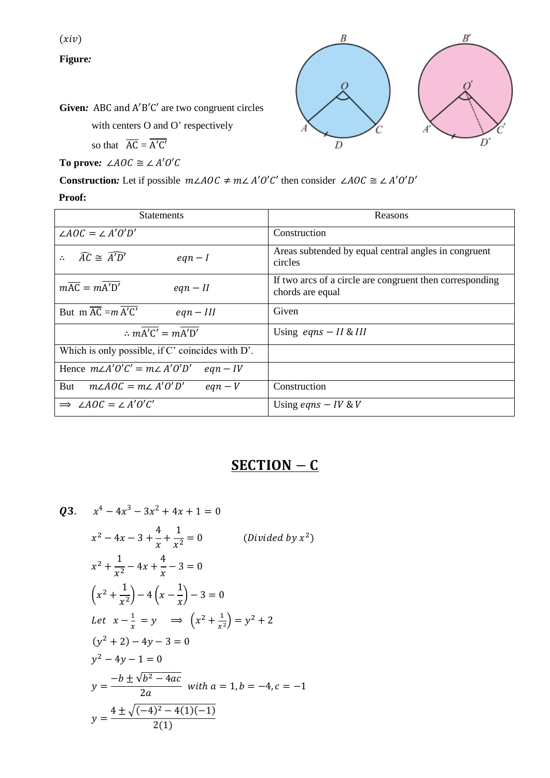$(xiv)$ 

**Figure***:*



**Given***:* ABC and A′B′C′ are two congruent circles

with centers O and O' respectively

so that  $\overline{AC} = \overline{A'C'}$ 

**To prove:** ∠ $AOC \cong \angle A'O'C$ 

**Construction:** Let if possible  $m\angle AOC \neq m\angle A'O'C'$  then consider  $\angle AOC \cong \angle A'O'D'$ 

#### **Proof:**

| <b>Statements</b>                                                  | Reasons                                                                      |  |  |  |
|--------------------------------------------------------------------|------------------------------------------------------------------------------|--|--|--|
| $\angle AOC = \angle A'O'D'$                                       | Construction                                                                 |  |  |  |
| $\widehat{AC} \cong \widehat{A'D'}$<br>$eqn - I$<br>$\ddot{\cdot}$ | Areas subtended by equal central angles in congruent<br>circles              |  |  |  |
| $m\overline{AC} = mA'D'$<br>$eqn - II$                             | If two arcs of a circle are congruent then corresponding<br>chords are equal |  |  |  |
| But m $\overline{AC} = m \overline{A'C'}$<br>$eqn - III$           | Given                                                                        |  |  |  |
| $\therefore$ mA'C' = mA'D'                                         | Using $eqns - II & III$                                                      |  |  |  |
| Which is only possible, if C' coincides with D'.                   |                                                                              |  |  |  |
| Hence $m\angle A'O'C' = m\angle A'O'D'$<br>$eqn - IV$              |                                                                              |  |  |  |
| $m\angle AOC = m\angle A'O'D'$<br>But<br>$eqn-V$                   | Construction                                                                 |  |  |  |
| $\Rightarrow$ $\angle AOC = \angle A'O'C'$                         | Using <i>eqns</i> $- IV & V$                                                 |  |  |  |

## SECTION – C

Q3. 
$$
x^4 - 4x^3 - 3x^2 + 4x + 1 = 0
$$
  
\n $x^2 - 4x - 3 + \frac{4}{x} + \frac{1}{x^2} = 0$  (Divided by  $x^2$ )  
\n $x^2 + \frac{1}{x^2} - 4x + \frac{4}{x} - 3 = 0$   
\n $\left(x^2 + \frac{1}{x^2}\right) - 4\left(x - \frac{1}{x}\right) - 3 = 0$   
\nLet  $x - \frac{1}{x} = y \implies \left(x^2 + \frac{1}{x^2}\right) = y^2 + 2$   
\n $(y^2 + 2) - 4y - 3 = 0$   
\n $y^2 - 4y - 1 = 0$   
\n $y = \frac{-b \pm \sqrt{b^2 - 4ac}}{2a}$  with  $a = 1, b = -4, c = -1$   
\n $y = \frac{4 \pm \sqrt{(-4)^2 - 4(1)(-1)}}{2(1)}$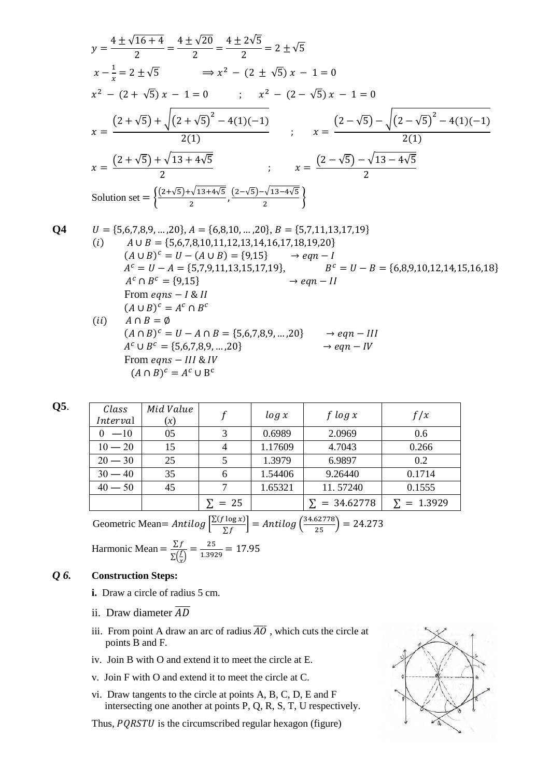$$
y = \frac{4 \pm \sqrt{16 + 4}}{2} = \frac{4 \pm \sqrt{20}}{2} = \frac{4 \pm 2\sqrt{5}}{2} = 2 \pm \sqrt{5}
$$
  
\n
$$
x - \frac{1}{x} = 2 \pm \sqrt{5} \implies x^2 - (2 \pm \sqrt{5}) x - 1 = 0
$$
  
\n
$$
x^2 - (2 + \sqrt{5}) x - 1 = 0 \implies x^2 - (2 - \sqrt{5}) x - 1 = 0
$$
  
\n
$$
x = \frac{(2 + \sqrt{5}) + \sqrt{(2 + \sqrt{5})^2 - 4(1)(-1)}}{2(1)} \implies x = \frac{(2 - \sqrt{5}) - \sqrt{(2 - \sqrt{5})^2 - 4(1)(-1)}}{2(1)}
$$
  
\n
$$
x = \frac{(2 + \sqrt{5}) + \sqrt{13 + 4\sqrt{5}}}{2} \implies x = \frac{(2 - \sqrt{5}) - \sqrt{13 - 4\sqrt{5}}}{2}
$$
  
\nSolution set = 
$$
\left\{\frac{(2 + \sqrt{5}) + \sqrt{13 + 4\sqrt{5}}}{2}, \frac{(2 - \sqrt{5}) - \sqrt{13 - 4\sqrt{5}}}{2}\right\}
$$

Q4   
\n
$$
U = \{5,6,7,8,9,...,20\}, A = \{6,8,10,...,20\}, B = \{5,7,11,13,17,19\}
$$
\n(i)   
\n
$$
A \cup B = \{5,6,7,8,10,11,12,13,14,16,17,18,19,20\}
$$
\n
$$
(A \cup B)^{c} = U - (A \cup B) = \{9,15\} \rightarrow eqn - I
$$
\n
$$
A^{c} = U - A = \{5,7,9,11,13,15,17,19\}, B^{c} = U - B = \{6,8,9,10,12,14,15,16,18\}
$$
\n
$$
A^{c} \cap B^{c} = \{9,15\} \rightarrow eqn - II
$$
\nFrom eqns – I & I  
\n
$$
(A \cup B)^{c} = A^{c} \cap B^{c}
$$
\n(ii) 
$$
A \cap B = \emptyset
$$
\n
$$
(A \cap B)^{c} = U - A \cap B = \{5,6,7,8,9,...,20\} \rightarrow eqn - III
$$
\n
$$
A^{c} \cup B^{c} = \{5,6,7,8,9,...,20\} \rightarrow eqn - IV
$$
\nFrom eqns – III & I & IV  
\n
$$
(A \cap B)^{c} = A^{c} \cup B^{c}
$$

| I<br>۰,<br>75<br>$\sim$<br>$\sim$<br>× |
|----------------------------------------|
|----------------------------------------|

| Class<br>Interval | Mid Value<br>(x) |               | log x   | f $log x$           | f/x               |
|-------------------|------------------|---------------|---------|---------------------|-------------------|
| $0 -10$           | 05               | 3             | 0.6989  | 2.0969              | 0.6               |
| $10 - 20$         | 15               |               | 1.17609 | 4.7043              | 0.266             |
| $20 - 30$         | 25               | 5             | 1.3979  | 6.9897              | 0.2               |
| $30 - 40$         | 35               |               | 1.54406 | 9.26440             | 0.1714            |
| $40 - 50$         | 45               |               | 1.65321 | 11.57240            | 0.1555            |
|                   |                  | $\Sigma = 25$ |         | $\Sigma = 34.62778$ | $\Sigma = 1.3929$ |

Geometric Mean=  $Antilog \left[ \frac{\sum (f \log x)}{\sum f} \right]$  $\left[\frac{\log x}{\sum f}\right] = Antilog\left(\frac{34.62778}{25}\right) = 24.273$ 

Harmonic Mean =  $\frac{\sum f}{n(f)}$  $\Sigma(\frac{f}{g})$  $\frac{f}{f(x)} = \frac{25}{1.39}$  $\frac{23}{1.3929} = 17.95$ 

#### *Q 6.* **Construction Steps:**

- **i.** Draw a circle of radius 5 cm.
- ii. Draw diameter  $\overline{AD}$
- iii. From point A draw an arc of radius  $\overline{AO}$ , which cuts the circle at points B and F*.*
- iv. Join B with O and extend it to meet the circle at E.
- v. Join F with O and extend it to meet the circle at C.
- vi. Draw tangents to the circle at points A, B, C, D, E and F intersecting one another at points P, Q, R, S, T, U respectively.

Thus,  $PQRSTU$  is the circumscribed regular hexagon (figure)